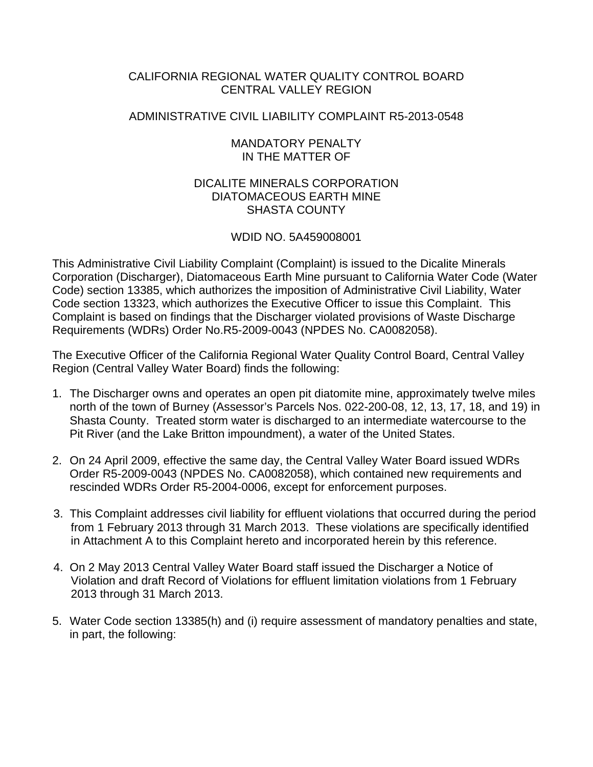## CALIFORNIA REGIONAL WATER QUALITY CONTROL BOARD CENTRAL VALLEY REGION

## ADMINISTRATIVE CIVIL LIABILITY COMPLAINT R5-2013-0548

### MANDATORY PENALTY IN THE MATTER OF

## DICALITE MINERALS CORPORATION DIATOMACEOUS EARTH MINE SHASTA COUNTY

# WDID NO. 5A459008001

This Administrative Civil Liability Complaint (Complaint) is issued to the Dicalite Minerals Corporation (Discharger), Diatomaceous Earth Mine pursuant to California Water Code (Water Code) section 13385, which authorizes the imposition of Administrative Civil Liability, Water Code section 13323, which authorizes the Executive Officer to issue this Complaint. This Complaint is based on findings that the Discharger violated provisions of Waste Discharge Requirements (WDRs) Order No.R5-2009-0043 (NPDES No. CA0082058).

The Executive Officer of the California Regional Water Quality Control Board, Central Valley Region (Central Valley Water Board) finds the following:

- 1. The Discharger owns and operates an open pit diatomite mine, approximately twelve miles north of the town of Burney (Assessor's Parcels Nos. 022-200-08, 12, 13, 17, 18, and 19) in Shasta County. Treated storm water is discharged to an intermediate watercourse to the Pit River (and the Lake Britton impoundment), a water of the United States.
- 2. On 24 April 2009, effective the same day, the Central Valley Water Board issued WDRs Order R5-2009-0043 (NPDES No. CA0082058), which contained new requirements and rescinded WDRs Order R5-2004-0006, except for enforcement purposes.
- 3. This Complaint addresses civil liability for effluent violations that occurred during the period from 1 February 2013 through 31 March 2013. These violations are specifically identified in Attachment A to this Complaint hereto and incorporated herein by this reference.
- 4. On 2 May 2013 Central Valley Water Board staff issued the Discharger a Notice of Violation and draft Record of Violations for effluent limitation violations from 1 February 2013 through 31 March 2013.
- 5. Water Code section 13385(h) and (i) require assessment of mandatory penalties and state, in part, the following: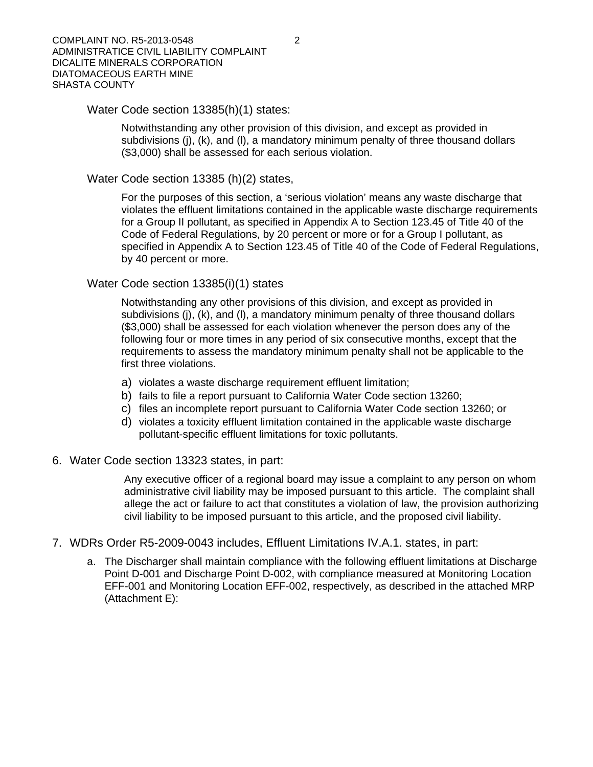#### Water Code section 13385(h)(1) states:

Notwithstanding any other provision of this division, and except as provided in subdivisions (j), (k), and (l), a mandatory minimum penalty of three thousand dollars (\$3,000) shall be assessed for each serious violation.

Water Code section 13385 (h)(2) states,

For the purposes of this section, a 'serious violation' means any waste discharge that violates the effluent limitations contained in the applicable waste discharge requirements for a Group II pollutant, as specified in Appendix A to Section 123.45 of Title 40 of the Code of Federal Regulations, by 20 percent or more or for a Group I pollutant, as specified in Appendix A to Section 123.45 of Title 40 of the Code of Federal Regulations, by 40 percent or more.

#### Water Code section 13385(i)(1) states

Notwithstanding any other provisions of this division, and except as provided in subdivisions (j), (k), and (l), a mandatory minimum penalty of three thousand dollars (\$3,000) shall be assessed for each violation whenever the person does any of the following four or more times in any period of six consecutive months, except that the requirements to assess the mandatory minimum penalty shall not be applicable to the first three violations.

- a) violates a waste discharge requirement effluent limitation;
- b) fails to file a report pursuant to California Water Code section 13260;
- c) files an incomplete report pursuant to California Water Code section 13260; or
- d) violates a toxicity effluent limitation contained in the applicable waste discharge pollutant-specific effluent limitations for toxic pollutants.
- 6. Water Code section 13323 states, in part:

Any executive officer of a regional board may issue a complaint to any person on whom administrative civil liability may be imposed pursuant to this article. The complaint shall allege the act or failure to act that constitutes a violation of law, the provision authorizing civil liability to be imposed pursuant to this article, and the proposed civil liability.

- 7. WDRs Order R5-2009-0043 includes, Effluent Limitations IV.A.1. states, in part:
	- a. The Discharger shall maintain compliance with the following effluent limitations at Discharge Point D-001 and Discharge Point D-002, with compliance measured at Monitoring Location EFF-001 and Monitoring Location EFF-002, respectively, as described in the attached MRP (Attachment E):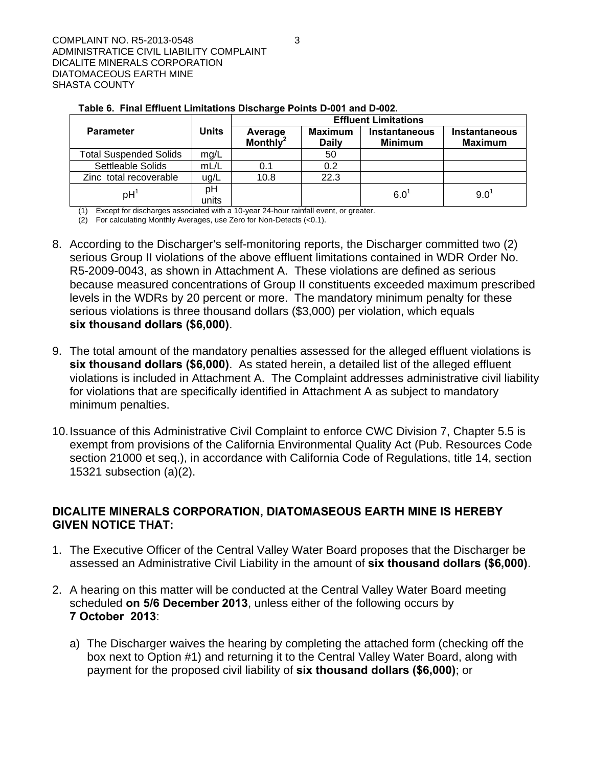|                               |              | <b>Effluent Limitations</b>     |                                |                                        |                                        |  |  |
|-------------------------------|--------------|---------------------------------|--------------------------------|----------------------------------------|----------------------------------------|--|--|
| <b>Parameter</b>              | <b>Units</b> | Average<br>Monthly <sup>2</sup> | <b>Maximum</b><br><b>Daily</b> | <b>Instantaneous</b><br><b>Minimum</b> | <b>Instantaneous</b><br><b>Maximum</b> |  |  |
| <b>Total Suspended Solids</b> | mg/L         |                                 | 50                             |                                        |                                        |  |  |
| Settleable Solids             | mL/L         | 0.1                             | 0.2                            |                                        |                                        |  |  |
| Zinc total recoverable        | ug/L         | 10.8                            | 22.3                           |                                        |                                        |  |  |
| $pH^1$                        | pН<br>units  |                                 |                                | 6.0                                    | $9.0^1$                                |  |  |

**Table 6. Final Effluent Limitations Discharge Points D-001 and D-002.** 

(1) Except for discharges associated with a 10-year 24-hour rainfall event, or greater.

(2) For calculating Monthly Averages, use Zero for Non-Detects (<0.1).

- 8. According to the Discharger's self-monitoring reports, the Discharger committed two (2) serious Group II violations of the above effluent limitations contained in WDR Order No. R5-2009-0043, as shown in Attachment A. These violations are defined as serious because measured concentrations of Group II constituents exceeded maximum prescribed levels in the WDRs by 20 percent or more. The mandatory minimum penalty for these serious violations is three thousand dollars (\$3,000) per violation, which equals **six thousand dollars (\$6,000)**.
- 9. The total amount of the mandatory penalties assessed for the alleged effluent violations is **six thousand dollars (\$6,000)**. As stated herein, a detailed list of the alleged effluent violations is included in Attachment A. The Complaint addresses administrative civil liability for violations that are specifically identified in Attachment A as subject to mandatory minimum penalties.
- 10. Issuance of this Administrative Civil Complaint to enforce CWC Division 7, Chapter 5.5 is exempt from provisions of the California Environmental Quality Act (Pub. Resources Code section 21000 et seq.), in accordance with California Code of Regulations, title 14, section 15321 subsection (a)(2).

## **DICALITE MINERALS CORPORATION, DIATOMASEOUS EARTH MINE IS HEREBY GIVEN NOTICE THAT:**

- 1. The Executive Officer of the Central Valley Water Board proposes that the Discharger be assessed an Administrative Civil Liability in the amount of **six thousand dollars (\$6,000)**.
- 2. A hearing on this matter will be conducted at the Central Valley Water Board meeting scheduled **on 5/6 December 2013**, unless either of the following occurs by **7 October 2013**:
	- a) The Discharger waives the hearing by completing the attached form (checking off the box next to Option #1) and returning it to the Central Valley Water Board, along with payment for the proposed civil liability of **six thousand dollars (\$6,000)**; or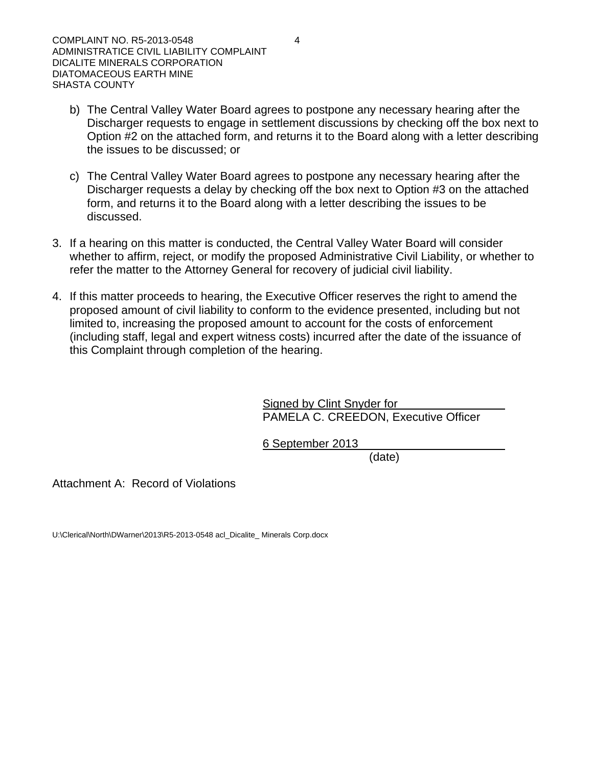- b) The Central Valley Water Board agrees to postpone any necessary hearing after the Discharger requests to engage in settlement discussions by checking off the box next to Option #2 on the attached form, and returns it to the Board along with a letter describing the issues to be discussed; or
- c) The Central Valley Water Board agrees to postpone any necessary hearing after the Discharger requests a delay by checking off the box next to Option #3 on the attached form, and returns it to the Board along with a letter describing the issues to be discussed.
- 3. If a hearing on this matter is conducted, the Central Valley Water Board will consider whether to affirm, reject, or modify the proposed Administrative Civil Liability, or whether to refer the matter to the Attorney General for recovery of judicial civil liability.
- 4. If this matter proceeds to hearing, the Executive Officer reserves the right to amend the proposed amount of civil liability to conform to the evidence presented, including but not limited to, increasing the proposed amount to account for the costs of enforcement (including staff, legal and expert witness costs) incurred after the date of the issuance of this Complaint through completion of the hearing.

**Signed by Clint Snyder for** PAMELA C. CREEDON, Executive Officer

6 September 2013

(date)

Attachment A: Record of Violations

U:\Clerical\North\DWarner\2013\R5-2013-0548 acl\_Dicalite\_ Minerals Corp.docx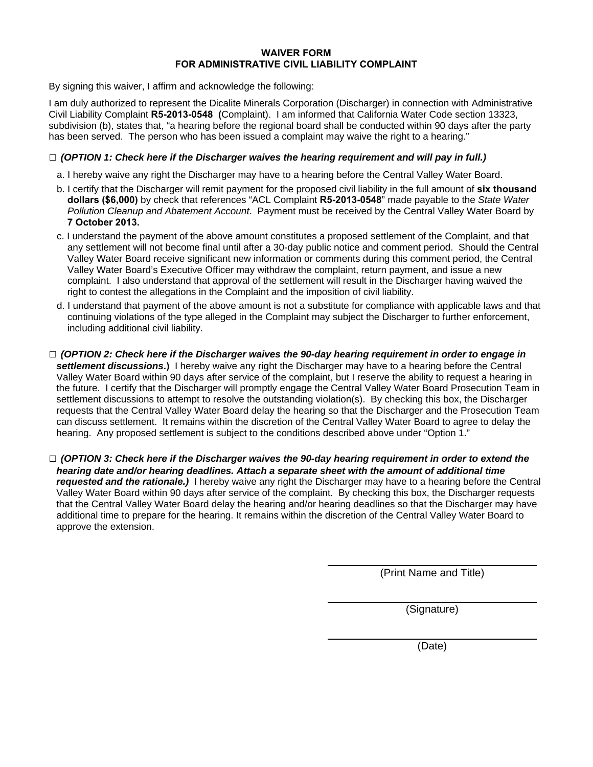#### **WAIVER FORM FOR ADMINISTRATIVE CIVIL LIABILITY COMPLAINT**

By signing this waiver, I affirm and acknowledge the following:

I am duly authorized to represent the Dicalite Minerals Corporation (Discharger) in connection with Administrative Civil Liability Complaint **R5-2013-0548 (**Complaint). I am informed that California Water Code section 13323, subdivision (b), states that, "a hearing before the regional board shall be conducted within 90 days after the party has been served. The person who has been issued a complaint may waive the right to a hearing."

#### **□** *(OPTION 1: Check here if the Discharger waives the hearing requirement and will pay in full.)*

- a. I hereby waive any right the Discharger may have to a hearing before the Central Valley Water Board.
- b. I certify that the Discharger will remit payment for the proposed civil liability in the full amount of **six thousand dollars (\$6,000)** by check that references "ACL Complaint **R5-2013-0548**" made payable to the *State Water Pollution Cleanup and Abatement Account*. Payment must be received by the Central Valley Water Board by **7 October 2013.**
- c. I understand the payment of the above amount constitutes a proposed settlement of the Complaint, and that any settlement will not become final until after a 30-day public notice and comment period. Should the Central Valley Water Board receive significant new information or comments during this comment period, the Central Valley Water Board's Executive Officer may withdraw the complaint, return payment, and issue a new complaint. I also understand that approval of the settlement will result in the Discharger having waived the right to contest the allegations in the Complaint and the imposition of civil liability.
- d. I understand that payment of the above amount is not a substitute for compliance with applicable laws and that continuing violations of the type alleged in the Complaint may subject the Discharger to further enforcement, including additional civil liability.
- **□** *(OPTION 2: Check here if the Discharger waives the 90-day hearing requirement in order to engage in settlement discussions***.)** I hereby waive any right the Discharger may have to a hearing before the Central Valley Water Board within 90 days after service of the complaint, but I reserve the ability to request a hearing in the future. I certify that the Discharger will promptly engage the Central Valley Water Board Prosecution Team in settlement discussions to attempt to resolve the outstanding violation(s). By checking this box, the Discharger requests that the Central Valley Water Board delay the hearing so that the Discharger and the Prosecution Team can discuss settlement. It remains within the discretion of the Central Valley Water Board to agree to delay the hearing. Any proposed settlement is subject to the conditions described above under "Option 1."
- **□** *(OPTION 3: Check here if the Discharger waives the 90-day hearing requirement in order to extend the hearing date and/or hearing deadlines. Attach a separate sheet with the amount of additional time requested and the rationale.)* I hereby waive any right the Discharger may have to a hearing before the Central Valley Water Board within 90 days after service of the complaint. By checking this box, the Discharger requests that the Central Valley Water Board delay the hearing and/or hearing deadlines so that the Discharger may have additional time to prepare for the hearing. It remains within the discretion of the Central Valley Water Board to approve the extension.

(Print Name and Title)

(Signature)

(Date)